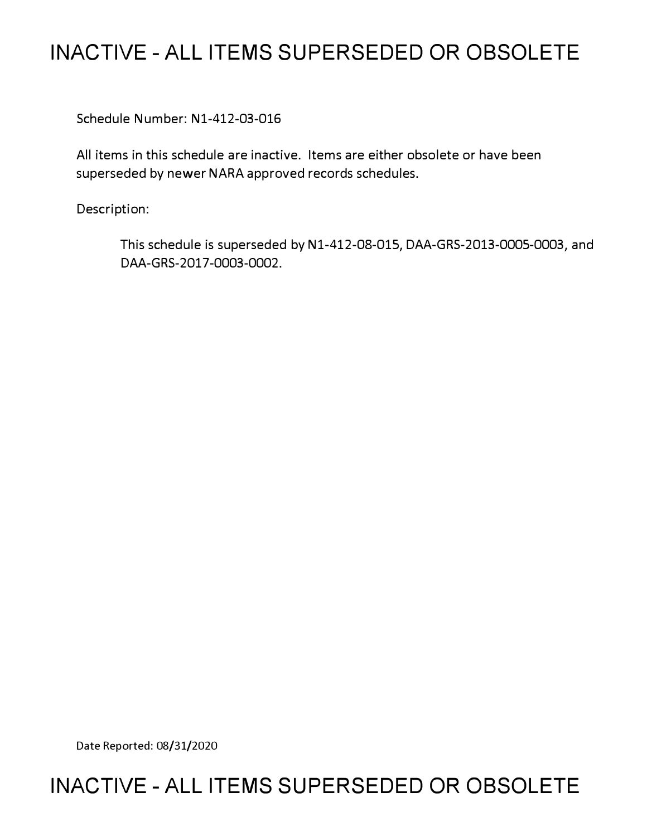## **INACTIVE - ALL ITEMS SUPERSEDED OR OBSOLETE**

Schedule Number: Nl-412-03-016

All items in this schedule are inactive. Items are either obsolete or have been superseded by newer NARA approved records schedules.

Description:

This schedule is superseded by Nl-412-08-015, DAA-GRS-2013-0005-0003, and DAA-GRS-2017-0003-0002.

Date Reported: 08/31/2020

### **INACTIVE - ALL ITEMS SUPERSEDED OR OBSOLETE**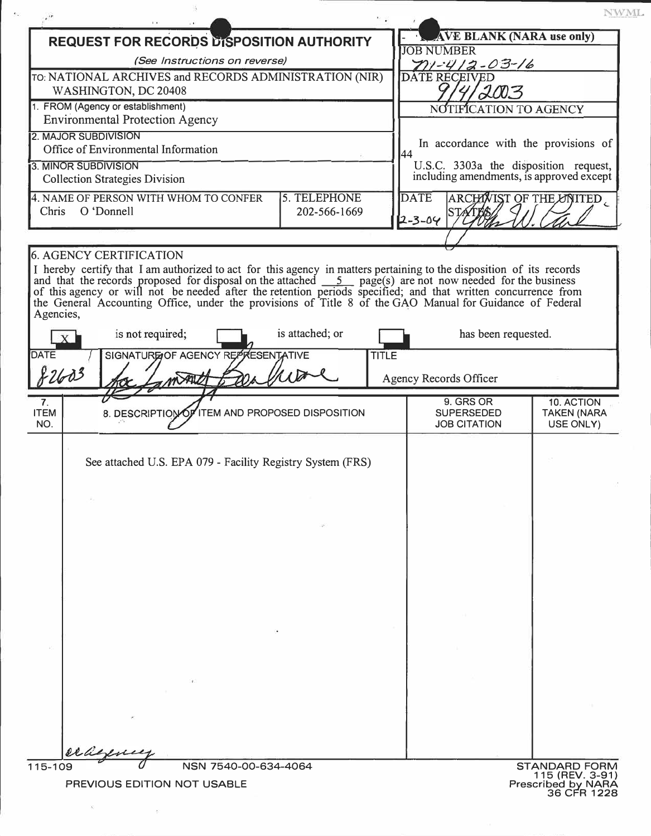NWML **REQUEST FOR RECORDS DISPOSITION AUTHORITY FIGURE AVE BLANK (NARA use only)** *(See Instructions on reverse)*<br>CHIVES and RECORDS ADMINISTRATION (NIR) DATE RECEIVED **TO:** NATIONAL ARCHIVES and RECORDS ADMINISTRATION (NIR) 2003 WASHINGTON, DC 20408 1. FROM (Agency or establishment) NOTIFICATION TO AGENCY Environmental Protection Agency 2. MAJOR SUBDIVISION<br>
Office of Environmental Information<br>
Office of Environmental Information Office of Environmental Information 2001 and 2008 3. MINOR SUBDIVISION<br>  $\begin{bmatrix} 3.0 \end{bmatrix}$  ,  $\begin{bmatrix} 0 & 1 \end{bmatrix}$  ,  $\begin{bmatrix} 0 & 0 \end{bmatrix}$  ,  $\begin{bmatrix} 0 & 1 \end{bmatrix}$  ,  $\begin{bmatrix} 0 & 1 \end{bmatrix}$  ,  $\begin{bmatrix} 0 & 1 \end{bmatrix}$  ,  $\begin{bmatrix} 0 & 1 \end{bmatrix}$  ,  $\begin{bmatrix} 0 & 1 \end{bmatrix}$  ,  $\begin{bmatrix} 0 & 1 \end{bmatrix}$  ,  $\begin$ U.S.C. 3303a the disposition request, Collection Strategies Division including amendments, is approved except ARCHAVIST OF THE LANITED 4. NAME OF PERSON WITH WHOM TO CONFER 5. TELEPHONE DATE Chris O'Donnell 202-566-1669  $3 - 04$ 6. AGENCY CERTIFICATION I hereby certify that I am authorized to act for this agency in matters pertaining to the disposition of its records and that the records proposed for disposal on the attached  $\frac{1}{2}$  page(s) are not now needed for the business of this agency or will not be needed after the retention periods specified; and that written concurrence from the General Accounting Office, under the provisions of Title 8 of the GAO Manual for Guidance of Federal is not required; is attached; or **has been requested.** SIGNATURGOF AGENCY REP RESENTATIVE **TITLE** 2603 for Lamont Barbor Und Agency Records Officer  $7.$  9. GRS OR 10. ACTION ITEM | 8. DESCRIPTION OF ITEM AND PROPOSED DISPOSITION | SUPERSEDED | TAKEN (NARA<br>NO. | USE ONLY) NO.  $\begin{bmatrix} 0 & 1 \end{bmatrix}$  USE ONLY) See attached U.S. EPA 079 - Facility Registry System (FRS)

NSN 7540-00-634-4064 STANDARD FORM 115-109

PREVIOUS EDITION NOT USABLE

Agencies,

**DATE**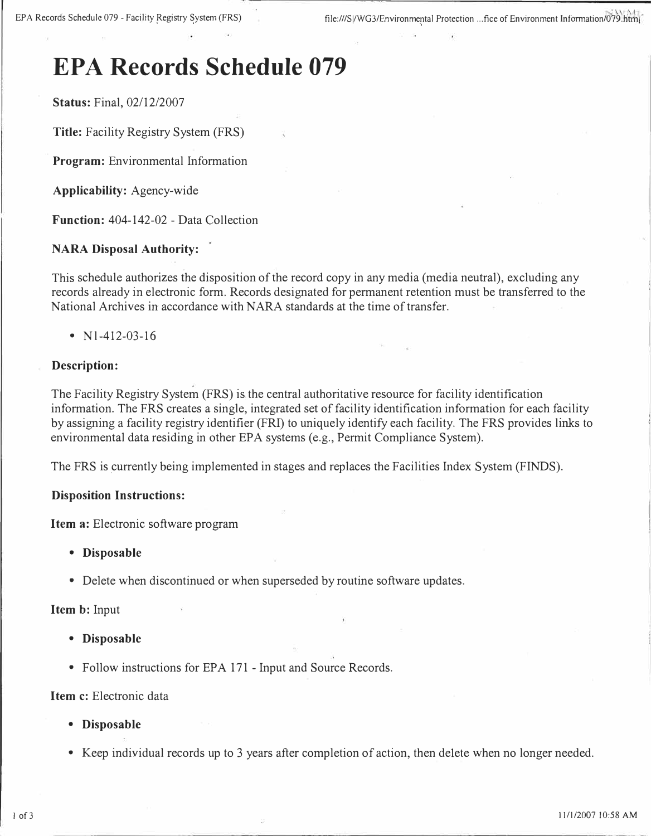# **EPA Records Schedule 079**

**Status:** Final, 02/12/2007

**Title:** Facility Registry System (FRS)

**Program:** Environmental Information

**Applicability:** Agency-wide

**Function:** 404-142-02 - Data Collection

#### **NARA Disposal Authority:**

This schedule authorizes the disposition of the record copy in any media (media neutral), excluding any records already in electronic form. Records designated for permanent retention must be transferred to the National Archives in accordance with NARA standards at the time of transfer.

• N<sub>1</sub>-412-03-16

#### **Description:**

The Facility Registry System (FRS) is the central authoritative resource for facility identification information. The FRS creates a single, integrated set of facility identification information for each facility by assigning a facility registry identifier (FRI) to uniquely identify each facihty. The FRS provides links to environmental data residing in other EPA systems (e.g., Permit Compliance System).

The FRS is currently being implemented in stages and replaces the Facilities Index System (FINDS).

#### **Disposition Instructions:**

**Item a:** Electronic software program

- **Disposable**
- Delete when discontinued or when superseded by routine software updates.

#### **Item b:** Input

- **Disposable**
- Follow instructions for EPA 171 Input and Source Records.

#### Item c: Electronic data

- **Disposable**
- Keep individual records up to 3 years after completion of action, then delete when no longer needed.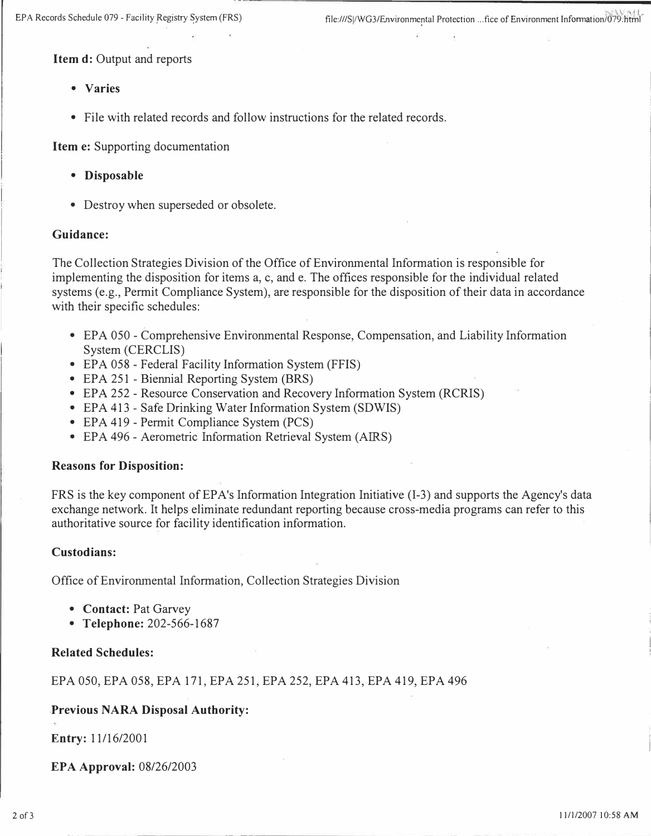**Item d: Output and reports** 

- **Varies**
- **File with related records and follow instructions for the related records.**

**Item e: Supporting documentation** 

- **Disposable**
- **Destroy when superseded or obsolete.**

#### **Guidance:**

**The Collection Strategies Division of the Office of Environmental Information is responsible for implementing the disposition for items a, c, and e. The offices responsible for the individual related systems (e.g., Permit Compliance System), are responsible for the disposition of their data in accordance with their specific schedules:** 

- **EPA 050 - Comprehensive Environmental Response, Compensation, and Liability Information System (CERCLIS)**
- **EPA 058 - Federal Facility Information System (FFIS)**
- **EPA 251 - Biennial Reporting System (BRS)**
- **EPA 252 - Resource Conservation and Recovery Information System (RCRIS)**
- **EPA 413 - Safe Drinking Water Information System (SDWIS)**
- **EPA 419 - Permit Compliance System (PCS)**
- **EPA 496 - Aerometric Information Retrieval System (AIRS)**

#### **Reasons for Disposition:**

**FRS is the key component of EPA's Information Integration Initiative (1-3) and supports the Agency's data exchange network. It helps eliminate redundant reporting because cross-media programs can refer to this authoritative source for facility identification information.** 

#### **Custodians:**

**Office of Environmental Information, Collection Strategies Division** 

- **Contact: Pat Garvey**
- **Telephone: 202-566-1687**

#### **Related Schedules:**

**EPA 050, EPA 058, EPA 171, EPA 251, EPA 252, EPA 413, EPA 419, EPA 496** 

#### **Previous NARA Disposal Authority:**

**Entry: 11/16/2001** 

**EPA Approval: 08/26/2003**